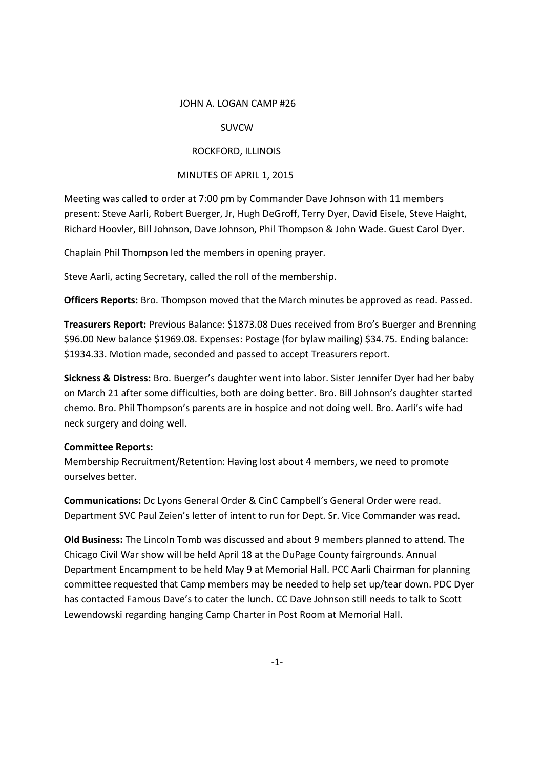#### JOHN A. LOGAN CAMP #26

# SUVCW

# ROCKFORD, ILLINOIS

# MINUTES OF APRIL 1, 2015

Meeting was called to order at 7:00 pm by Commander Dave Johnson with 11 members present: Steve Aarli, Robert Buerger, Jr, Hugh DeGroff, Terry Dyer, David Eisele, Steve Haight, Richard Hoovler, Bill Johnson, Dave Johnson, Phil Thompson & John Wade. Guest Carol Dyer.

Chaplain Phil Thompson led the members in opening prayer.

Steve Aarli, acting Secretary, called the roll of the membership.

**Officers Reports:** Bro. Thompson moved that the March minutes be approved as read. Passed.

**Treasurers Report:** Previous Balance: \$1873.08 Dues received from Bro's Buerger and Brenning \$96.00 New balance \$1969.08. Expenses: Postage (for bylaw mailing) \$34.75. Ending balance: \$1934.33. Motion made, seconded and passed to accept Treasurers report.

**Sickness & Distress:** Bro. Buerger's daughter went into labor. Sister Jennifer Dyer had her baby on March 21 after some difficulties, both are doing better. Bro. Bill Johnson's daughter started chemo. Bro. Phil Thompson's parents are in hospice and not doing well. Bro. Aarli's wife had neck surgery and doing well.

## **Committee Reports:**

Membership Recruitment/Retention: Having lost about 4 members, we need to promote ourselves better.

**Communications:** Dc Lyons General Order & CinC Campbell's General Order were read. Department SVC Paul Zeien's letter of intent to run for Dept. Sr. Vice Commander was read.

**Old Business:** The Lincoln Tomb was discussed and about 9 members planned to attend. The Chicago Civil War show will be held April 18 at the DuPage County fairgrounds. Annual Department Encampment to be held May 9 at Memorial Hall. PCC Aarli Chairman for planning committee requested that Camp members may be needed to help set up/tear down. PDC Dyer has contacted Famous Dave's to cater the lunch. CC Dave Johnson still needs to talk to Scott Lewendowski regarding hanging Camp Charter in Post Room at Memorial Hall.